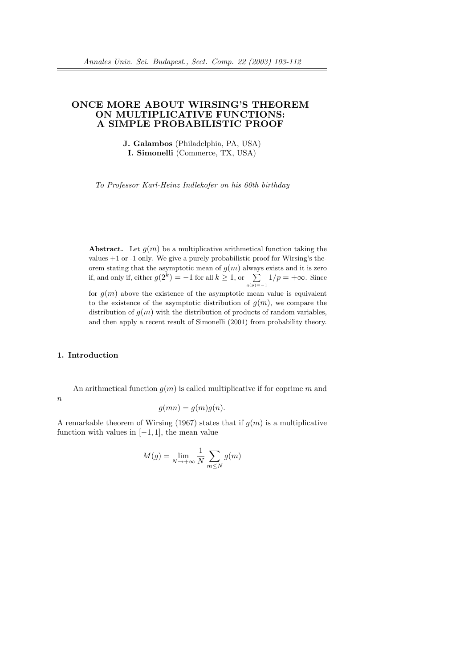# ONCE MORE ABOUT WIRSING'S THEOREM ON MULTIPLICATIVE FUNCTIONS: A SIMPLE PROBABILISTIC PROOF

J. Galambos (Philadelphia, PA, USA) I. Simonelli (Commerce, TX, USA)

To Professor Karl-Heinz Indlekofer on his 60th birthday

**Abstract.** Let  $q(m)$  be a multiplicative arithmetical function taking the values  $+1$  or  $-1$  only. We give a purely probabilistic proof for Wirsing's theorem stating that the asymptotic mean of  $g(m)$  always exists and it is zero f, and only if, either  $g(2^k) = -1$  for all  $k \ge 1$ , or  $\sum_{g(p)=-1}^{n} 1/p = +\infty$ . Since for  $q(m)$  above the existence of the asymptotic mean value is equivalent to the existence of the asymptotic distribution of  $q(m)$ , we compare the distribution of  $q(m)$  with the distribution of products of random variables, and then apply a recent result of Simonelli (2001) from probability theory.

## 1. Introduction

An arithmetical function  $q(m)$  is called multiplicative if for coprime m and  $\boldsymbol{n}$ 

$$
g(mn) = g(m)g(n).
$$

A remarkable theorem of Wirsing (1967) states that if  $g(m)$  is a multiplicative function with values in  $[-1, 1]$ , the mean value

$$
M(g) = \lim_{N \to +\infty} \frac{1}{N} \sum_{m \le N} g(m)
$$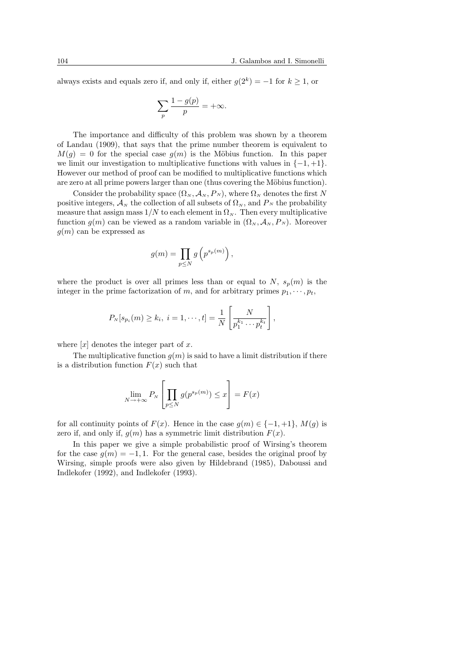always exists and equals zero if, and only if, either  $g(2^k) = -1$  for  $k \ge 1$ , or

$$
\sum_{p} \frac{1 - g(p)}{p} = +\infty.
$$

The importance and difficulty of this problem was shown by a theorem of Landau (1909), that says that the prime number theorem is equivalent to  $M(q) = 0$  for the special case  $q(m)$  is the Möbius function. In this paper we limit our investigation to multiplicative functions with values in  $\{-1, +1\}$ . However our method of proof can be modified to multiplicative functions which are zero at all prime powers larger than one (thus covering the Möbius function).

Consider the probability space  $(\Omega_N, \mathcal{A}_N, P_N)$ , where  $\Omega_N$  denotes the first N positive integers,  $\mathcal{A}_N$  the collection of all subsets of  $\Omega_N$ , and  $P_N$  the probability measure that assign mass  $1/N$  to each element in  $\Omega_N$ . Then every multiplicative function  $g(m)$  can be viewed as a random variable in  $(\Omega_N, \mathcal{A}_N, P_N)$ . Moreover  $q(m)$  can be expressed as

$$
g(m) = \prod_{p \le N} g\left(p^{s_p(m)}\right),\,
$$

where the product is over all primes less than or equal to N,  $s_p(m)$  is the integer in the prime factorization of m, and for arbitrary primes  $p_1, \dots, p_t$ ,

$$
P_N[s_{p_i}(m) \ge k_i, i = 1, \dots, t] = \frac{1}{N} \left[ \frac{N}{p_1^{k_1} \cdots p_t^{k_t}} \right],
$$

where  $[x]$  denotes the integer part of x.

The multiplicative function  $q(m)$  is said to have a limit distribution if there is a distribution function  $F(x)$  such that

$$
\lim_{N \to +\infty} P_N \left[ \prod_{p \le N} g(p^{s_p(m)}) \le x \right] = F(x)
$$

for all continuity points of  $F(x)$ . Hence in the case  $g(m) \in \{-1, +1\}$ ,  $M(g)$  is zero if, and only if,  $g(m)$  has a symmetric limit distribution  $F(x)$ .

In this paper we give a simple probabilistic proof of Wirsing's theorem for the case  $g(m) = -1, 1$ . For the general case, besides the original proof by Wirsing, simple proofs were also given by Hildebrand (1985), Daboussi and Indlekofer (1992), and Indlekofer (1993).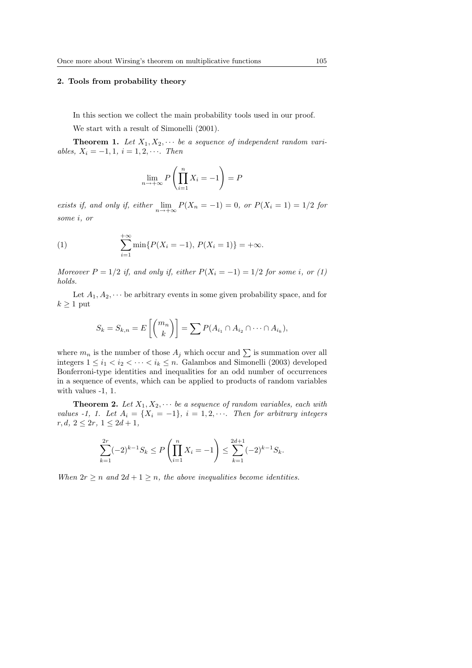#### 2. Tools from probability theory

In this section we collect the main probability tools used in our proof.

We start with a result of Simonelli (2001).

**Theorem 1.** Let  $X_1, X_2, \cdots$  be a sequence of independent random variables,  $X_i = -1, 1, i = 1, 2, \cdots$ . Then

$$
\lim_{n \to +\infty} P\left(\prod_{i=1}^{n} X_i = -1\right) = P
$$

exists if, and only if, either  $\lim_{n \to +\infty} P(X_n = -1) = 0$ , or  $P(X_i = 1) = 1/2$  for some i, or

(1) 
$$
\sum_{i=1}^{+\infty} \min\{P(X_i = -1), P(X_i = 1)\} = +\infty.
$$

Moreover  $P = 1/2$  if, and only if, either  $P(X_i = -1) = 1/2$  for some i, or (1) holds.

Let  $A_1, A_2, \dots$  be arbitrary events in some given probability space, and for  $k \geq 1$  put

$$
S_k = S_{k,n} = E\left[\binom{m_n}{k}\right] = \sum P(A_{i_1} \cap A_{i_2} \cap \dots \cap A_{i_k}),
$$

where  $m_n$  is the number of those  $A_j$  which occur and  $\sum$  is summation over all integers  $1 \leq i_1 < i_2 < \cdots < i_k \leq n$ . Galambos and Simonelli (2003) developed Bonferroni-type identities and inequalities for an odd number of occurrences in a sequence of events, which can be applied to products of random variables with values -1, 1.

**Theorem 2.** Let  $X_1, X_2, \cdots$  be a sequence of random variables, each with values -1, 1. Let  $A_i = \{X_i = -1\}, i = 1, 2, \cdots$ . Then for arbitrary integers  $r, d, 2 \leq 2r, 1 \leq 2d + 1,$ 

$$
\sum_{k=1}^{2r} (-2)^{k-1} S_k \le P\left(\prod_{i=1}^n X_i = -1\right) \le \sum_{k=1}^{2d+1} (-2)^{k-1} S_k.
$$

When  $2r \geq n$  and  $2d + 1 \geq n$ , the above inequalities become identities.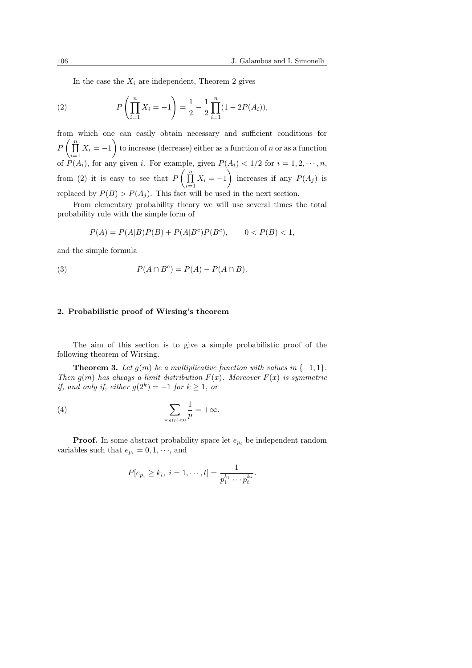In the case the  $X_i$  are independent, Theorem 2 gives

(2) 
$$
P\left(\prod_{i=1}^{n} X_i = -1\right) = \frac{1}{2} - \frac{1}{2} \prod_{i=1}^{n} (1 - 2P(A_i)),
$$

from which one can easily obtain necessary and sufficient conditions for  $\Gamma$   $\left( \prod_{n=1}^{\infty} \right)$  $\prod_{i=1} X_i = -1$  to increase (decrease) either as a function of n or as a function of  $P(A_i)$ , for any given i. For example, given  $P(A_i) < 1/2$  for  $i = 1, 2, \dots, n$ , from (2) it is easy to see that  $P\left(\prod_{i=1}^n a_i\right)$  $\prod_{i=1} X_i = -1$  increases if any  $P(A_j)$  is replaced by  $P(B) > P(A_i)$ . This fact will be used in the next section.

From elementary probability theory we will use several times the total probability rule with the simple form of

$$
P(A) = P(A|B)P(B) + P(A|B^c)P(B^c), \qquad 0 < P(B) < 1,
$$

and the simple formula

(3) 
$$
P(A \cap B^c) = P(A) - P(A \cap B).
$$

### 2. Probabilistic proof of Wirsing's theorem

The aim of this section is to give a simple probabilistic proof of the following theorem of Wirsing.

**Theorem 3.** Let  $q(m)$  be a multiplicative function with values in  $\{-1, 1\}$ . Then  $q(m)$  has always a limit distribution  $F(x)$ . Moreover  $F(x)$  is symmetric if, and only if, either  $g(2^k) = -1$  for  $k \ge 1$ , or

(4) 
$$
\sum_{p:g(p)<0}\frac{1}{p}=+\infty.
$$

**Proof.** In some abstract probability space let  $e_{p_i}$  be independent random variables such that  $e_{p_i} = 0, 1, \dots$ , and

$$
P[e_{p_i} \ge k_i, i = 1, \cdots, t] = \frac{1}{p_1^{k_1} \cdots p_t^{k_t}}.
$$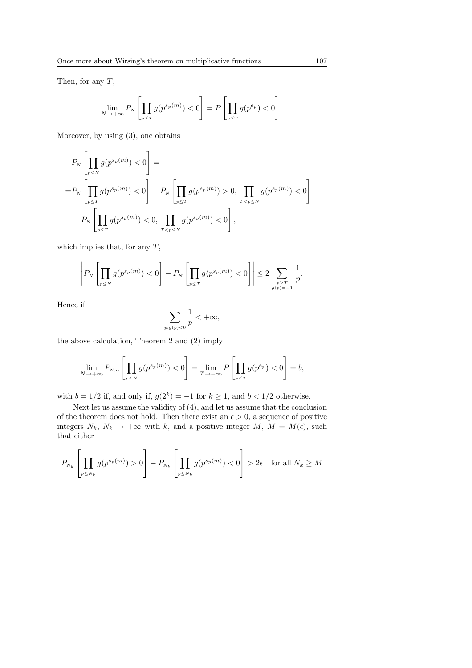Then, for any  $T$ ,

$$
\lim_{N \to +\infty} P_N \left[ \prod_{p \le T} g(p^{s_p(m)}) < 0 \right] = P \left[ \prod_{p \le T} g(p^{e_p}) < 0 \right].
$$

Moreover, by using (3), one obtains

$$
P_{N}\left[\prod_{p\leq N} g(p^{s_p(m)}) < 0\right] =
$$
\n
$$
= P_{N}\left[\prod_{p\leq T} g(p^{s_p(m)}) < 0\right] + P_{N}\left[\prod_{p\leq T} g(p^{s_p(m)}) > 0, \prod_{T < p \leq N} g(p^{s_p(m)}) < 0\right] -
$$
\n
$$
- P_{N}\left[\prod_{p\leq T} g(p^{s_p(m)}) < 0, \prod_{T < p \leq N} g(p^{s_p(m)}) < 0\right],
$$

which implies that, for any  $T$ ,

$$
\left| P_N \left[ \prod_{p \le N} g(p^{s_p(m)}) < 0 \right] - P_N \left[ \prod_{p \le T} g(p^{s_p(m)}) < 0 \right] \right| \le 2 \sum_{\substack{p \ge T \\ g(p) = -1}} \frac{1}{p}.
$$

Hence if

$$
\sum_{p:g(p)<0}\frac{1}{p}<+\infty,
$$

the above calculation, Theorem 2 and (2) imply

$$
\lim_{N \to +\infty} P_{N,\alpha} \left[ \prod_{p \le N} g(p^{s_p(m)}) < 0 \right] = \lim_{T \to +\infty} P \left[ \prod_{p \le T} g(p^{e_p}) < 0 \right] = b,
$$

with  $b = 1/2$  if, and only if,  $g(2^k) = -1$  for  $k \ge 1$ , and  $b < 1/2$  otherwise.

Next let us assume the validity of (4), and let us assume that the conclusion of the theorem does not hold. Then there exist an  $\epsilon > 0$ , a sequence of positive integers  $N_k$ ,  $N_k \to +\infty$  with k, and a positive integer M,  $M = M(\epsilon)$ , such that either

$$
P_{N_k}\left[\prod_{p\leq N_k}g(p^{s_p(m)})>0\right]-P_{N_k}\left[\prod_{p\leq N_k}g(p^{s_p(m)})<0\right]>2\epsilon\quad \text{for all }N_k\geq M
$$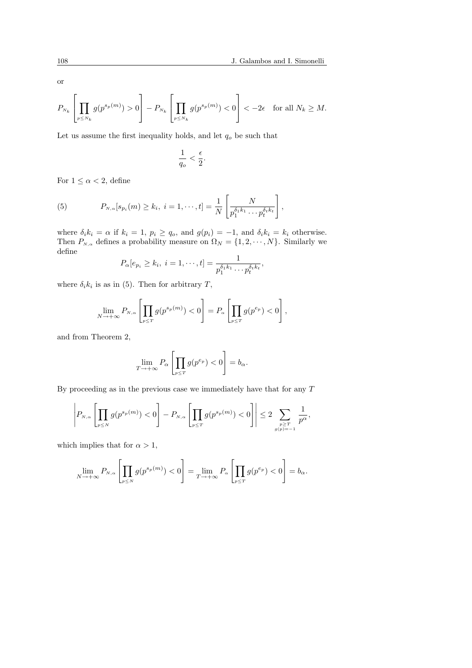or

$$
P_{\scriptscriptstyle N_k}\left[\prod_{\scriptscriptstyle p\leq N_k}g(p^{s_p(m)})>0\right]-P_{\scriptscriptstyle N_k}\left[\prod_{\scriptscriptstyle p\leq N_k}g(p^{s_p(m)})<0\right]<-2\epsilon\quad\text{for all $N_k\geq M$}.
$$

Let us assume the first inequality holds, and let  $q_o$  be such that

$$
\frac{1}{q_o} < \frac{\epsilon}{2}.
$$

For  $1 \leq \alpha < 2$ , define

(5) 
$$
P_{N,\alpha}[s_{p_i}(m) \geq k_i, i = 1, \cdots, t] = \frac{1}{N} \left[ \frac{N}{p_1^{\delta_1 k_1} \cdots p_t^{\delta_t k_t}} \right],
$$

where  $\delta_i k_i = \alpha$  if  $k_i = 1, p_i \ge q_o$ , and  $g(p_i) = -1$ , and  $\delta_i k_i = k_i$  otherwise. Then  $P_{N,\alpha}$  defines a probability measure on  $\Omega_N = \{1, 2, \cdots, N\}$ . Similarly we define

$$
P_{\alpha}[e_{p_i}\geq k_i,\ i=1,\cdots,t]=\frac{1}{p_1^{\delta_1k_1}\cdots p_t^{\delta_tk_t}},
$$

where  $\delta_i k_i$  is as in (5). Then for arbitrary T,

$$
\lim_{N \to +\infty} P_{N,\alpha} \left[ \prod_{p \leq T} g(p^{s_p(m)}) < 0 \right] = P_{\alpha} \left[ \prod_{p \leq T} g(p^{e_p}) < 0 \right],
$$

and from Theorem 2,

$$
\lim_{T \to +\infty} P_{\alpha} \left[ \prod_{p \leq T} g(p^{e_p}) < 0 \right] = b_{\alpha}.
$$

By proceeding as in the previous case we immediately have that for any T

$$
\left| P_{\scriptscriptstyle N,\alpha}\left[ \prod_{\scriptscriptstyle p\leq N} g(p^{s_p(m)})<0\right] - P_{\scriptscriptstyle N,\alpha}\left[ \prod_{\scriptscriptstyle p\leq T} g(p^{s_p(m)})<0\right] \right|\leq 2\sum_{\scriptscriptstyle p\geq T\atop\scriptscriptstyle g(p)=-1}\frac{1}{p^{\alpha}},
$$

which implies that for  $\alpha > 1$ ,

$$
\lim_{N \to +\infty} P_{N,\alpha} \left[ \prod_{p \le N} g(p^{s_p(m)}) < 0 \right] = \lim_{T \to +\infty} P_{\alpha} \left[ \prod_{p \le T} g(p^{e_p}) < 0 \right] = b_{\alpha}.
$$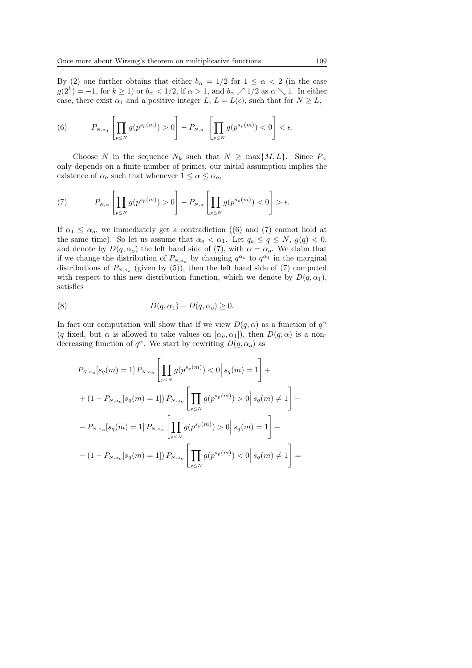By (2) one further obtains that either  $b_{\alpha} = 1/2$  for  $1 \leq \alpha < 2$  (in the case  $g(2^k) = -1$ , for  $k \ge 1$ ) or  $b_{\alpha} < 1/2$ , if  $\alpha > 1$ , and  $b_{\alpha} \nearrow 1/2$  as  $\alpha \searrow 1$ . In either case, there exist  $\alpha_1$  and a positive integer L,  $L = L(\epsilon)$ , such that for  $N \geq L$ ,

(6) 
$$
P_{N,\alpha_1}\left[\prod_{p\leq N}g(p^{s_p(m)})>0\right]-P_{N,\alpha_1}\left[\prod_{p\leq N}g(p^{s_p(m)})<0\right]<\epsilon.
$$

Choose N in the sequence  $N_k$  such that  $N \ge \max\{M, L\}$ . Since  $P_N$ only depends on a finite number of primes, our initial assumption implies the existence of  $\alpha_o$  such that whenever  $1 \leq \alpha \leq \alpha_o$ ,

(7) 
$$
P_{N,\alpha}\left[\prod_{p\leq N}g(p^{s_p(m)})>0\right]-P_{N,\alpha}\left[\prod_{p\leq N}g(p^{s_p(m)})<0\right]>\epsilon.
$$

If  $\alpha_1 \leq \alpha_0$ , we immediately get a contradiction (6) and (7) cannot hold at the same time). So let us assume that  $\alpha_o < \alpha_1$ . Let  $q_o \le q \le N$ ,  $q(q) < 0$ , and denote by  $D(q, \alpha_o)$  the left hand side of (7), with  $\alpha = \alpha_o$ . We claim that if we change the distribution of  $P_{N,\alpha_o}$  by changing  $q^{\alpha_o}$  to  $q^{\alpha_1}$  in the marginal distributions of  $P_{N,\alpha_o}$  (given by (5)), then the left hand side of (7) computed with respect to this new distribution function, which we denote by  $D(q, \alpha_1)$ , satisfies

(8) 
$$
D(q, \alpha_1) - D(q, \alpha_0) \geq 0.
$$

In fact our computation will show that if we view  $D(q, \alpha)$  as a function of  $q^{\alpha}$ (q fixed, but  $\alpha$  is allowed to take values on  $[\alpha_o, \alpha_1]$ ), then  $D(q, \alpha)$  is a nondecreasing function of  $q^{\alpha}$ . We start by rewriting  $D(q, \alpha_o)$  as

$$
P_{N,\alpha_o}[s_q(m) = 1] P_{N,\alpha_o} \left[ \prod_{p \le N} g(p^{s_p(m)}) < 0 \middle| s_q(m) = 1 \right] +
$$
\n
$$
+ (1 - P_{N,\alpha_o}[s_q(m) = 1]) P_{N,\alpha_o} \left[ \prod_{p \le N} g(p^{s_p(m)}) > 0 \middle| s_q(m) \ne 1 \right] -
$$
\n
$$
- P_{N,\alpha_o}[s_q(m) = 1] P_{N,\alpha_o} \left[ \prod_{p \le N} g(p^{s_p(m)}) > 0 \middle| s_q(m) = 1 \right] -
$$
\n
$$
- (1 - P_{N,\alpha_o}[s_q(m) = 1]) P_{N,\alpha_o} \left[ \prod_{p \le N} g(p^{s_p(m)}) < 0 \middle| s_q(m) \ne 1 \right] =
$$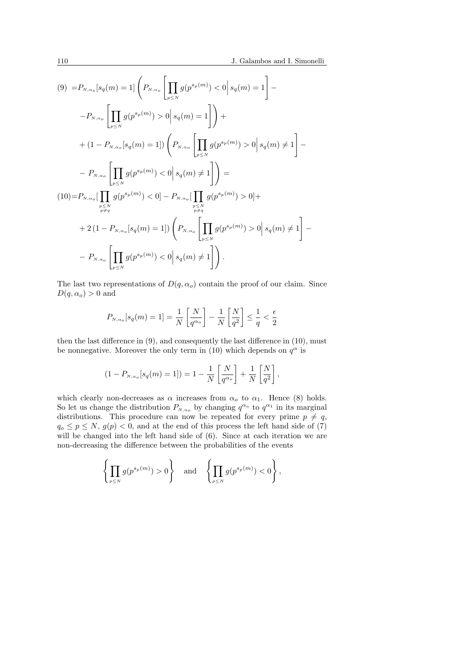$$
(9) = P_{N,\alpha_o}[s_q(m) = 1] \left( P_{N,\alpha_o} \left[ \prod_{p \le N} g(p^{s_p(m)}) < 0 \middle| s_q(m) = 1 \right] - P_{N,\alpha_o} \left[ \prod_{p \le N} g(p^{s_p(m)}) > 0 \middle| s_q(m) = 1 \right] \right) +
$$
\n
$$
+ (1 - P_{N,\alpha_o}[s_q(m) = 1]) \left( P_{N,\alpha_o} \left[ \prod_{p \le N} g(p^{s_p(m)}) > 0 \middle| s_q(m) \ne 1 \right] - P_{N,\alpha_o} \left[ \prod_{p \le N} g(p^{s_p(m)}) < 0 \middle| s_q(m) \ne 1 \right] \right) =
$$
\n
$$
(10) = P_{N,\alpha_o} \left[ \prod_{p \le N} g(p^{s_p(m)}) < 0 \right] - P_{N,\alpha_o} \left[ \prod_{p \le N} g(p^{s_p(m)}) > 0 \right] +
$$
\n
$$
+ 2 (1 - P_{N,\alpha_o}[s_q(m) = 1]) \left( P_{N,\alpha_o} \left[ \prod_{p \le N} g(p^{s_p(m)}) > 0 \middle| s_q(m) \ne 1 \right] - P_{N,\alpha_o} \left[ \prod_{p \le N} g(p^{s_p(m)}) < 0 \middle| s_q(m) \ne 1 \right] \right).
$$

The last two representations of  $D(q, \alpha_o)$  contain the proof of our claim. Since  $D(q, \alpha_o) > 0$  and

$$
P_{N,\alpha_o}[s_q(m) = 1] = \frac{1}{N} \left[ \frac{N}{q^{\alpha_o}} \right] - \frac{1}{N} \left[ \frac{N}{q^2} \right] \le \frac{1}{q} < \frac{\epsilon}{2}
$$

then the last difference in (9), and consequently the last difference in (10), must be nonnegative. Moreover the only term in (10) which depends on  $q^{\alpha}$  is

$$
(1 - P_{N,\alpha_o}[s_q(m) = 1]) = 1 - \frac{1}{N} \left[ \frac{N}{q^{\alpha_o}} \right] + \frac{1}{N} \left[ \frac{N}{q^2} \right],
$$

which clearly non-decreases as  $\alpha$  increases from  $\alpha_o$  to  $\alpha_1$ . Hence (8) holds. So let us change the distribution  $P_{N,\alpha_o}$  by changing  $q^{\alpha_o}$  to  $q^{\alpha_1}$  in its marginal distributions. This procedure can now be repeated for every prime  $p \neq q$ ,  $q_o \leq p \leq N$ ,  $g(p) < 0$ , and at the end of this process the left hand side of (7) will be changed into the left hand side of  $(6)$ . Since at each iteration we are non-decreasing the difference between the probabilities of the events

$$
\left\{\prod_{p\leq N}g(p^{s_p(m)})>0\right\}\quad\text{and}\quad\left\{\prod_{p\leq N}g(p^{s_p(m)})<0\right\},
$$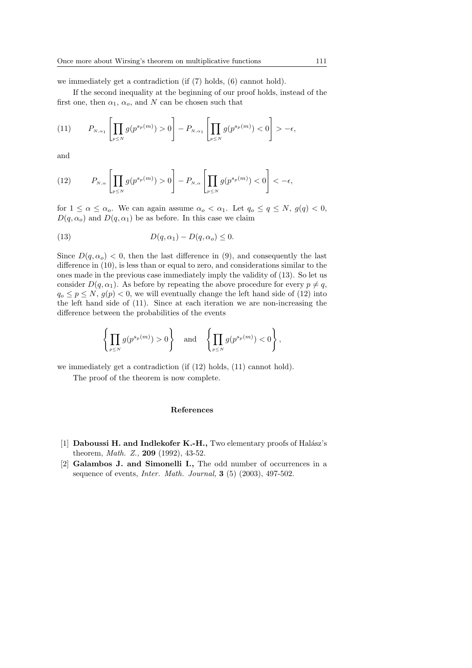we immediately get a contradiction (if (7) holds, (6) cannot hold).

If the second inequality at the beginning of our proof holds, instead of the first one, then  $\alpha_1$ ,  $\alpha_0$ , and N can be chosen such that

$$
(11) \qquad P_{N,\alpha_1}\left[\prod_{p\leq N}g(p^{s_p(m)})>0\right]-P_{N,\alpha_1}\left[\prod_{p\leq N}g(p^{s_p(m)})<0\right]>-\epsilon,
$$

and

(12) 
$$
P_{N,\alpha}\left[\prod_{p\leq N}g(p^{s_p(m)})>0\right]-P_{N,\alpha}\left[\prod_{p\leq N}g(p^{s_p(m)})<0\right]<-\epsilon,
$$

for  $1 \leq \alpha \leq \alpha_o$ . We can again assume  $\alpha_o < \alpha_1$ . Let  $q_o \leq q \leq N$ ,  $q(q) < 0$ ,  $D(q, \alpha_o)$  and  $D(q, \alpha_1)$  be as before. In this case we claim

(13) 
$$
D(q, \alpha_1) - D(q, \alpha_0) \leq 0.
$$

Since  $D(q, \alpha_o) < 0$ , then the last difference in (9), and consequently the last difference in (10), is less than or equal to zero, and considerations similar to the ones made in the previous case immediately imply the validity of (13). So let us consider  $D(q, \alpha_1)$ . As before by repeating the above procedure for every  $p \neq q$ ,  $q_0 \leq p \leq N$ ,  $q(p) < 0$ , we will eventually change the left hand side of (12) into the left hand side of (11). Since at each iteration we are non-increasing the difference between the probabilities of the events

$$
\left\{\prod_{p\leq N}g(p^{s_p(m)})>0\right\}\quad\text{and}\quad\left\{\prod_{p\leq N}g(p^{s_p(m)})<0\right\},
$$

we immediately get a contradiction (if (12) holds, (11) cannot hold).

The proof of the theorem is now complete.

#### References

- [1] Daboussi H. and Indlekofer K.-H., Two elementary proofs of Halász's theorem, Math. Z., 209 (1992), 43-52.
- [2] Galambos J. and Simonelli I., The odd number of occurrences in a sequence of events, *Inter. Math. Journal*,  $3(5)(2003)$ ,  $497-502$ .